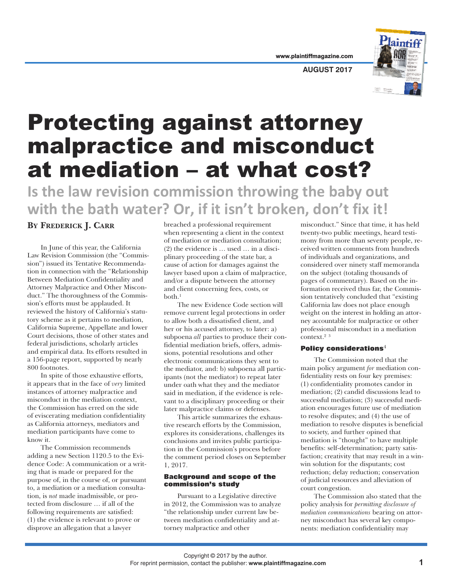**AUGUST 2017**

# Protecting against attorney malpractice and misconduct at mediation – at what cost?

**Is the law revision commission throwing the baby out with the bath water? Or, if it isn't broken, don't fix it!**

# **BY FREDERICK J. CARR**

In June of this year, the California Law Revision Commission (the "Commission") issued its Tentative Recommendation in connection with the "Relationship Between Mediation Confidentiality and Attorney Malpractice and Other Misconduct." The thoroughness of the Commission's efforts must be applauded. It reviewed the history of California's statutory scheme as it pertains to mediation, California Supreme, Appellate and lower Court decisions, those of other states and federal jurisdictions, scholarly articles and empirical data. Its efforts resulted in a 156-page report, supported by nearly 800 footnotes.

In spite of those exhaustive efforts, it appears that in the face of *very* limited instances of attorney malpractice and misconduct in the mediation context, the Commission has erred on the side of eviscerating mediation confidentiality as California attorneys, mediators and mediation participants have come to know it.

The Commission recommends adding a new Section 1120.5 to the Evidence Code: A communication or a writing that is made or prepared for the purpose of, in the course of, or pursuant to, a mediation or a mediation consultation, is *not* made inadmissible, or protected from disclosure … if all of the following requirements are satisfied: (1) the evidence is relevant to prove or disprove an allegation that a lawyer

breached a professional requirement when representing a client in the context of mediation or mediation consultation; (2) the evidence is … used … in a disciplinary proceeding of the state bar, a cause of action for damages against the lawyer based upon a claim of malpractice, and/or a dispute between the attorney and client concerning fees, costs, or both. 1

The new Evidence Code section will remove current legal protections in order to allow both a dissatisfied client, and her or his accused attorney, to later: a) subpoena *all* parties to produce their confidential mediation briefs, offers, admissions, potential resolutions and other electronic communications they sent to the mediator, and: b) subpoena all participants (not the mediator) to repeat later under oath what they and the mediator said in mediation, if the evidence is relevant to a disciplinary proceeding or their later malpractice claims or defenses.

This article summarizes the exhaustive research efforts by the Commission, explores its considerations, challenges its conclusions and invites public participation in the Commission's process before the comment period closes on September 1, 2017.

### **Background and scope of the commission's study**

Pursuant to a Legislative directive in 2012, the Commission was to analyze "the relationship under current law between mediation confidentiality and attorney malpractice and other

misconduct." Since that time, it has held twenty-two public meetings, heard testimony from more than seventy people, received written comments from hundreds of individuals and organizations, and considered over ninety staff memoranda on the subject (totaling thousands of pages of commentary). Based on the information received thus far, the Commission tentatively concluded that "existing California law does not place enough weight on the interest in holding an attorney accountable for malpractice or other professional misconduct in a mediation context. 2 3

# **Policy considerations**<sup>4</sup>

The Commission noted that the main policy argument *for* mediation confidentiality rests on four key premises: (1) confidentiality promotes candor in mediation; (2) candid discussions lead to successful mediation; (3) successful mediation encourages future use of mediation to resolve disputes; and (4) the use of mediation to resolve disputes is beneficial to society, and further opined that mediation is "thought" to have multiple benefits: self-determination; party satisfaction; creativity that may result in a winwin solution for the disputants; cost reduction; delay reduction; conservation of judicial resources and alleviation of court congestion.

The Commission also stated that the policy analysis for *permitting disclosure of mediation communications* bearing on attorney misconduct has several key components: mediation confidentiality may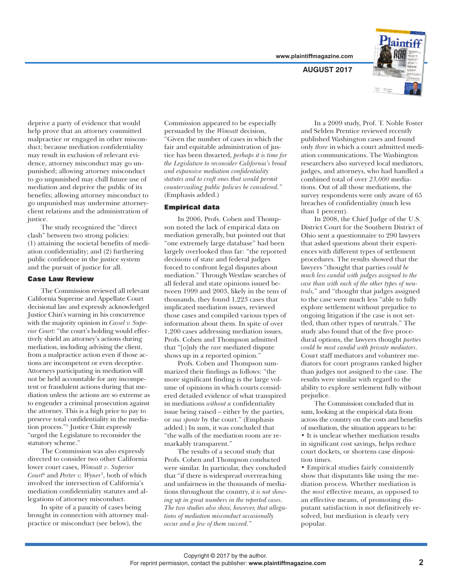**AUGUST 2017**



deprive a party of evidence that would help prove that an attorney committed malpractice or engaged in other misconduct; because mediation confidentiality may result in exclusion of relevant evidence, attorney misconduct may go unpunished; allowing attorney misconduct to go unpunished may chill future use of mediation and deprive the public of its benefits; allowing attorney misconduct to go unpunished may undermine attorneyclient relations and the administration of justice.

The study recognized the "direct clash" between two strong policies: (1) attaining the societal benefits of mediation confidentiality; and (2) furthering public confidence in the justice system and the pursuit of justice for all.

### **Case Law Review**

The Commission reviewed all relevant California Supreme and Appellate Court decisional law and expressly acknowledged Justice Chin's warning in his concurrence with the majority opinion in *Cassel v. Superior Court*: "the court's holding would effectively shield an attorney's actions during mediation, including advising the client, from a malpractice action even if those actions are incompetent or even deceptive. Attorneys participating in mediation will not be held accountable for any incompetent or fraudulent actions during that mediation unless the actions are so extreme as to engender a criminal prosecution against the attorney. This is a high price to pay to preserve total confidentiality in the mediation process."5 Justice Chin expressly "urged the Legislature to reconsider the statutory scheme."

The Commission was also expressly directed to consider two other California lower court cases, *Wimsatt v*. *Superior Court* <sup>6</sup> and *Porter v. Wyner*7, both of which involved the intersection of California's mediation confidentiality statutes and allegations of attorney misconduct.

In spite of a paucity of cases being brought in connection with attorney malpractice or misconduct (see below), the

Commission appeared to be especially persuaded by the *Wimsatt* decision, "Given the number of cases in which the fair and equitable administration of justice has been thwarted, *perhaps it is time for the Legislature to reconsider California's broad and expansive mediation confidentiality statutes and to craft ones that would permit countervailing public policies be considered."* (Emphasis added.)

# **Empirical data**

In 2006, Profs. Coben and Thompson noted the lack of empirical data on mediation generally, but pointed out that "one extremely large database" had been largely overlooked thus far: "the reported decisions of state and federal judges forced to confront legal disputes about mediation." Through Westlaw searches of all federal and state opinions issued between 1999 and 2003, likely in the tens of thousands, they found 1,223 cases that implicated mediation issues, reviewed those cases and compiled various types of information about them. In spite of over 1,200 cases addressing mediation issues, Profs. Coben and Thompson admitted that "[o]nly the *rare* mediated dispute shows up in a reported opinion."

Profs. Coben and Thompson summarized their findings as follows: "the more significant finding is the large volume of opinions in which courts considered detailed evidence of what transpired in mediations *without a* confidentiality issue being raised – either by the parties, or *sua sponte* by the court." (Emphasis added.) In sum, it was concluded that "the walls of the mediation room are remarkably transparent."

The results of a second study that Profs. Coben and Thompson conducted were similar. In particular, they concluded that "if there is widespread overreaching and unfairness in the thousands of mediations throughout the country, *it is not showing up in great numbers in the reported cases*. *The two studies also show, however, that allegations of mediation misconduct occasionally occur and a few of them succeed."*

In a 2009 study, Prof. T. Noble Foster and Selden Prentice reviewed recently published Washington cases and found only *three* in which a court admitted mediation communications. The Washington researchers also surveyed local mediators, judges, and attorneys, who had handled a combined total of over *23,000* mediations. Out of all those mediations, the survey respondents were only aware of 65 breaches of confidentiality (much less than 1 percent).

In 2008, the Chief Judge of the U.S. District Court for the Southern District of Ohio sent a questionnaire to 290 lawyers that asked questions about their experiences with different types of settlement procedures. The results showed that the lawyers "thought that parties *could be much less candid with judges assigned to the case than with each of the other types of neutrals,*" and "thought that judges assigned to the case were much less "able to fully explore settlement without prejudice to ongoing litigation if the case is not settled, than other types of neutrals." The study also found that of the five procedural options, the lawyers thought *parties could be most candid with private mediators*. Court staff mediators and volunteer mediators for court programs ranked higher than judges not assigned to the case. The results were similar with regard to the ability to explore settlement fully without prejudice.

The Commission concluded that in sum, looking at the empirical data from across the country on the costs and benefits of mediation, the situation appears to be: • It is unclear whether mediation results in significant cost savings, helps reduce court dockets, or shortens case disposition times.

• Empirical studies fairly consistently show that disputants like using the mediation process. Whether mediation is the *most* effective means, as opposed to an effective means, of promoting disputant satisfaction is not definitively resolved, but mediation is clearly very popular.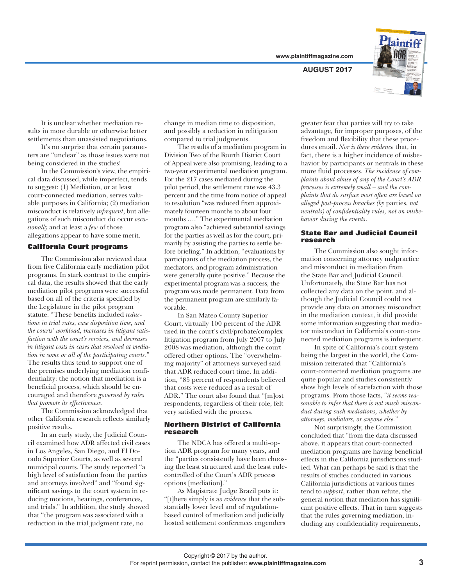

**AUGUST 2017**

It is unclear whether mediation results in more durable or otherwise better settlements than unassisted negotiations.

It's no surprise that certain parameters are "unclear" as those issues were not being considered in the studies!

In the Commission's view, the empirical data discussed, while imperfect, tends to suggest: (1) Mediation, or at least court-connected mediation, serves valuable purposes in California; (2) mediation misconduct is relatively *infrequent*, but allegations of such misconduct do occur *occasionally* and at least a *few* of those allegations appear to have some merit.

# **California Court programs**

The Commission also reviewed data from five California early mediation pilot programs. In stark contrast to the empirical data, the results showed that the early mediation pilot programs were successful based on all of the criteria specified by the Legislature in the pilot program statute. "These benefits included *reductions in trial rates, case disposition time, and the courts' workload, increases in litigant satisfaction with the court's services, and decreases in litigant costs in cases that resolved at mediation in some or all of the participating courts*." The results thus tend to support one of the premises underlying mediation confidentiality: the notion that mediation is a beneficial process, which should be encouraged and therefore *governed by rules that promote its effectiveness*.

The Commission acknowledged that other California research reflects similarly positive results.

In an early study, the Judicial Council examined how ADR affected civil cases in Los Angeles, San Diego, and El Dorado Superior Courts, as well as several municipal courts. The study reported "a high level of satisfaction from the parties and attorneys involved" and "found significant savings to the court system in reducing motions, hearings, conferences, and trials." In addition, the study showed that "the program was associated with a reduction in the trial judgment rate, no

change in median time to disposition, and possibly a reduction in relitigation compared to trial judgments.

The results of a mediation program in Division Two of the Fourth District Court of Appeal were also promising, leading to a two-year experimental mediation program. For the 217 cases mediated during the pilot period, the settlement rate was 43.3 percent and the time from notice of appeal to resolution "was reduced from approximately fourteen months to about four months …." The experimental mediation program also "achieved substantial savings for the parties as well as for the court, primarily by assisting the parties to settle before briefing." In addition, "evaluations by participants of the mediation process, the mediators, and program administration were generally quite positive." Because the experimental program was a success, the program was made permanent. Data from the permanent program are similarly favorable.

In San Mateo County Superior Court, virtually 100 percent of the ADR used in the court's civil/probate/complex litigation program from July 2007 to July 2008 was mediation, although the court offered other options. The "overwhelming majority" of attorneys surveyed said that ADR reduced court time. In addition, "85 percent of respondents believed that costs were reduced as a result of ADR." The court also found that "[m]ost respondents, regardless of their role, felt very satisfied with the process.

### **Northern District of California research**

The NDCA has offered a multi-option ADR program for many years, and the "parties consistently have been choosing the least structured and the least rulecontrolled of the Court's ADR process options [mediation]."

As Magistrate Judge Brazil puts it: "[t]here simply is *no evidence* that the substantially lower level and of regulationbased control of mediation and judicially hosted settlement conferences engenders

greater fear that parties will try to take advantage, for improper purposes, of the freedom and flexibility that these procedures entail. *Nor is there evidence* that, in fact, there is a higher incidence of misbehavior by participants or neutrals in these more fluid processes. *The incidence of complaints about abuse of any of the Court's ADR processes is extremely small – and the complaints that do surface most often are based on alleged post-process breaches (by* parties, *not neutrals) of confidentiality rules, not on misbehavior during the events*.

#### **State Bar and Judicial Council research**

The Commission also sought information concerning attorney malpractice and misconduct in mediation from the State Bar and Judicial Council. Unfortunately, the State Bar has not collected any data on the point, and although the Judicial Council could not provide any data on attorney misconduct in the mediation context, it did provide some information suggesting that mediator misconduct in California's court-connected mediation programs is infrequent.

In spite of California's court system being the largest in the world, the Commission reiterated that "California's court-connected mediation programs are quite popular and studies consistently show high levels of satisfaction with those programs. From those facts, "*it seems reasonable to infer that there is not much misconduct during such mediations, whether by attorneys, mediators, or anyone else.*"

Not surprisingly, the Commission concluded that "from the data discussed above, it appears that court-connected mediation programs are having beneficial effects in the California jurisdictions studied. What can perhaps be said is that the results of studies conducted in various California jurisdictions at various times tend to *support*, rather than refute, the general notion that mediation has significant positive effects. That in turn suggests that the rules governing mediation, including any confidentiality requirements,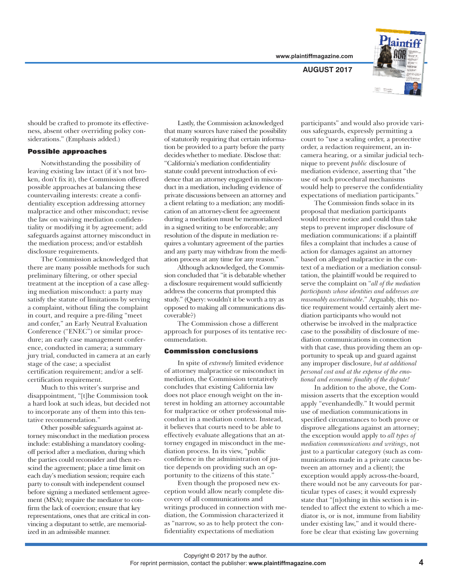**AUGUST 2017**



should be crafted to promote its effectiveness, absent other overriding policy considerations." (Emphasis added.)

# **Possible approaches**

Notwithstanding the possibility of leaving existing law intact (if it's not broken, don't fix it), the Commission offered possible approaches at balancing these countervailing interests: create a confidentiality exception addressing attorney malpractice and other misconduct; revise the law on waiving mediation confidentiality or modifying it by agreement; add safeguards against attorney misconduct in the mediation process; and/or establish disclosure requirements.

The Commission acknowledged that there are many possible methods for such preliminary filtering, or other special treatment at the inception of a case alleging mediation misconduct: a party may satisfy the statute of limitations by serving a complaint, without filing the complaint in court, and require a pre-filing "meet and confer," an Early Neutral Evaluation Conference ("ENEC") or similar procedure; an early case management conference, conducted in camera; a summary jury trial, conducted in camera at an early stage of the case; a specialist certification requirement; and/or a selfcertification requirement.

Much to this writer's surprise and disappointment, "[t]he Commission took a hard look at such ideas, but decided not to incorporate any of them into this tentative recommendation."

Other possible safeguards against attorney misconduct in the mediation process include: establishing a mandatory coolingoff period after a mediation, during which the parties could reconsider and then rescind the agreement; place a time limit on each day's mediation session; require each party to consult with independent counsel before signing a mediated settlement agreement (MSA); require the mediator to confirm the lack of coercion; ensure that key representations, ones that are critical in convincing a disputant to settle, are memorialized in an admissible manner.

Lastly, the Commission acknowledged that many sources have raised the possibility of statutorily requiring that certain information be provided to a party before the party decides whether to mediate. Disclose that: "California's mediation confidentiality statute could prevent introduction of evidence that an attorney engaged in misconduct in a mediation, including evidence of private discussions between an attorney and a client relating to a mediation; any modification of an attorney-client fee agreement during a mediation must be memorialized in a signed writing to be enforceable; any resolution of the dispute in mediation requires a voluntary agreement of the parties and any party may withdraw from the mediation process at any time for any reason."

Although acknowledged, the Commission concluded that "it is debatable whether a disclosure requirement would sufficiently address the concerns that prompted this study." (Query: wouldn't it be worth a try as opposed to making all communications discoverable?)

The Commission chose a different approach for purposes of its tentative recommendation.

#### **Commission conclusions**

In spite of *extremely* limited evidence of attorney malpractice or misconduct in mediation, the Commission tentatively concludes that existing California law does not place enough weight on the interest in holding an attorney accountable for malpractice or other professional misconduct in a mediation context. Instead, it believes that courts need to be able to effectively evaluate allegations that an attorney engaged in misconduct in the mediation process. In its view, "public confidence in the administration of justice depends on providing such an opportunity to the citizens of this state.<sup>3</sup>

Even though the proposed new exception would allow nearly complete discovery of all communications and writings produced in connection with mediation, the Commission characterized it as "narrow, so as to help protect the confidentiality expectations of mediation

participants" and would also provide various safeguards, expressly permitting a court to "use a sealing order, a protective order, a redaction requirement, an incamera hearing, or a similar judicial technique to prevent *public* disclosure of mediation evidence, asserting that "the use of such procedural mechanisms would help to preserve the confidentiality expectations of mediation participants."

The Commission finds solace in its proposal that mediation participants would receive notice and could thus take steps to prevent improper disclosure of mediation communications: if a plaintiff files a complaint that includes a cause of action for damages against an attorney based on alleged malpractice in the context of a mediation or a mediation consultation, the plaintiff would be required to serve the complaint on "*all of the mediation participants whose identities and addresses are reasonably ascertainable*." Arguably, this notice requirement would certainly alert mediation participants who would not otherwise be involved in the malpractice case to the possibility of disclosure of mediation communications in connection with that case, thus providing them an opportunity to speak up and guard against any improper disclosure, *but at additional personal cost and at the expense of the emotional and economic finality of the dispute!*

In addition to the above, the Commission asserts that the exception would apply "evenhandedly." It would permit use of mediation communications in specified circumstances to both prove or disprove allegations against an attorney; the exception would apply to *all types of mediation communications and writings*, not just to a particular category (such as communications made in a private caucus between an attorney and a client); the exception would apply across-the-board, there would not be any carveouts for particular types of cases; it would expressly state that "[n]othing in this section is intended to affect the extent to which a mediator is, or is not, immune from liability under existing law," and it would therefore be clear that existing law governing